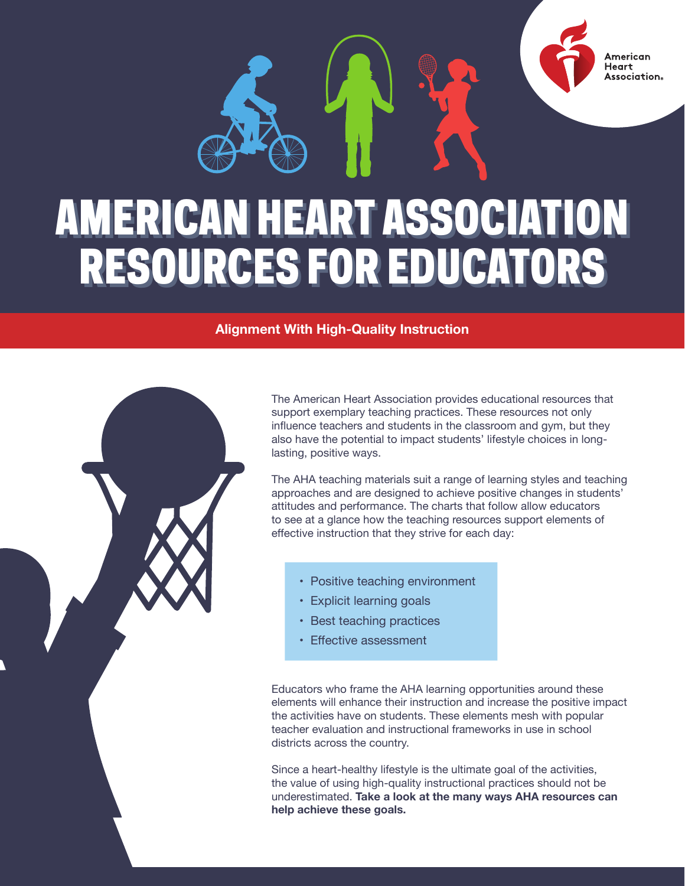

## AMERICAN HEART ASSOCIATION AMERICAN HEART ASSOCIATION RESOURCES FOR EDUCATORS RESOURCES FOR EDUCATORS

## **Alignment With High-Quality Instruction**

The American Heart Association provides educational resources that support exemplary teaching practices. These resources not only influence teachers and students in the classroom and gym, but they also have the potential to impact students' lifestyle choices in longlasting, positive ways.

The AHA teaching materials suit a range of learning styles and teaching approaches and are designed to achieve positive changes in students' attitudes and performance. The charts that follow allow educators to see at a glance how the teaching resources support elements of effective instruction that they strive for each day:

- Positive teaching environment
- Explicit learning goals
- Best teaching practices
- Effective assessment

Educators who frame the AHA learning opportunities around these elements will enhance their instruction and increase the positive impact the activities have on students. These elements mesh with popular teacher evaluation and instructional frameworks in use in school districts across the country.

Since a heart-healthy lifestyle is the ultimate goal of the activities, the value of using high-quality instructional practices should not be underestimated. **Take a look at the many ways AHA resources can help achieve these goals.**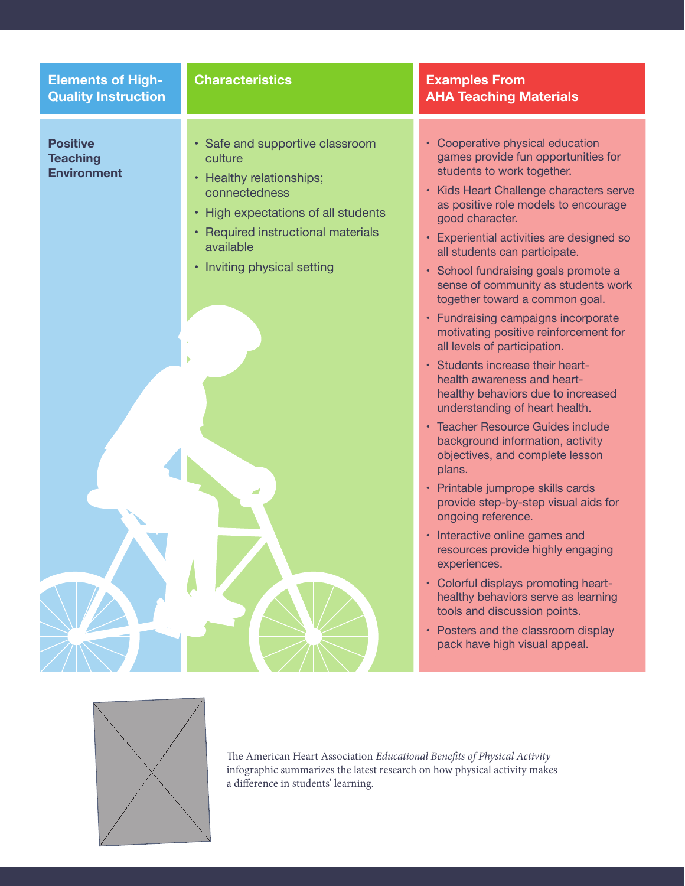| <b>Elements of High-</b><br><b>Quality Instruction</b>   | <b>Characteristics</b>                                                                                                                                                                                                | <b>Examples From</b><br><b>AHA Teaching Materials</b>                                                                                                                                                                                                                                                                                                                                                                                                                                                                                                                                                                                                                                                                                                                                                                                                                                                                                                                                                                                                                                                                                                                        |
|----------------------------------------------------------|-----------------------------------------------------------------------------------------------------------------------------------------------------------------------------------------------------------------------|------------------------------------------------------------------------------------------------------------------------------------------------------------------------------------------------------------------------------------------------------------------------------------------------------------------------------------------------------------------------------------------------------------------------------------------------------------------------------------------------------------------------------------------------------------------------------------------------------------------------------------------------------------------------------------------------------------------------------------------------------------------------------------------------------------------------------------------------------------------------------------------------------------------------------------------------------------------------------------------------------------------------------------------------------------------------------------------------------------------------------------------------------------------------------|
| <b>Positive</b><br><b>Teaching</b><br><b>Environment</b> | • Safe and supportive classroom<br>culture<br>• Healthy relationships;<br>connectedness<br>• High expectations of all students<br>• Required instructional materials<br>available<br>• Inviting physical setting<br>ک | • Cooperative physical education<br>games provide fun opportunities for<br>students to work together.<br>• Kids Heart Challenge characters serve<br>as positive role models to encourage<br>good character.<br>• Experiential activities are designed so<br>all students can participate.<br>• School fundraising goals promote a<br>sense of community as students work<br>together toward a common goal.<br>• Fundraising campaigns incorporate<br>motivating positive reinforcement for<br>all levels of participation.<br>· Students increase their heart-<br>health awareness and heart-<br>healthy behaviors due to increased<br>understanding of heart health.<br>• Teacher Resource Guides include<br>background information, activity<br>objectives, and complete lesson<br>plans.<br>• Printable jumprope skills cards<br>provide step-by-step visual aids for<br>ongoing reference.<br>• Interactive online games and<br>resources provide highly engaging<br>experiences.<br>• Colorful displays promoting heart-<br>healthy behaviors serve as learning<br>tools and discussion points.<br>• Posters and the classroom display<br>pack have high visual appeal. |
|                                                          |                                                                                                                                                                                                                       |                                                                                                                                                                                                                                                                                                                                                                                                                                                                                                                                                                                                                                                                                                                                                                                                                                                                                                                                                                                                                                                                                                                                                                              |

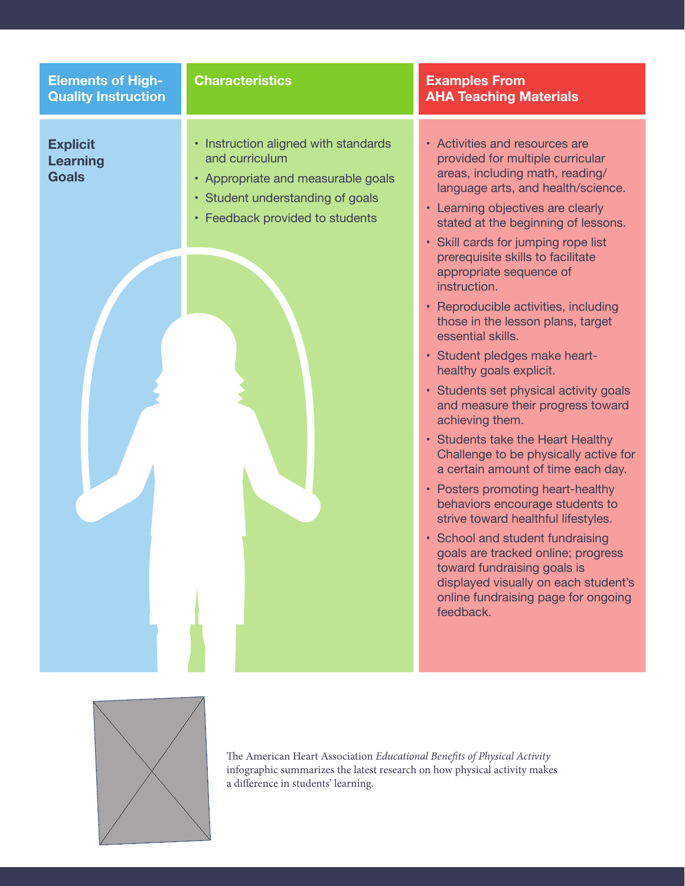| <b>Elements of High-</b><br><b>Quality Instruction</b> | <b>Characteristics</b>                                                                                                                                              | <b>Examples From</b><br><b>AHA Teaching Materials</b>                                                                                                                                                                                                                                                                                                                                                                                                                                                                                                                                                                                                                                                                                                                                                                                                                                                                                                                                                                                                  |
|--------------------------------------------------------|---------------------------------------------------------------------------------------------------------------------------------------------------------------------|--------------------------------------------------------------------------------------------------------------------------------------------------------------------------------------------------------------------------------------------------------------------------------------------------------------------------------------------------------------------------------------------------------------------------------------------------------------------------------------------------------------------------------------------------------------------------------------------------------------------------------------------------------------------------------------------------------------------------------------------------------------------------------------------------------------------------------------------------------------------------------------------------------------------------------------------------------------------------------------------------------------------------------------------------------|
| <b>Explicit</b><br><b>Learning</b><br><b>Goals</b>     | • Instruction aligned with standards<br>and curriculum<br>• Appropriate and measurable goals<br>• Student understanding of goals<br>• Feedback provided to students | • Activities and resources are<br>provided for multiple curricular<br>areas, including math, reading/<br>language arts, and health/science.<br>• Learning objectives are clearly<br>stated at the beginning of lessons.<br>• Skill cards for jumping rope list<br>prerequisite skills to facilitate<br>appropriate sequence of<br>instruction.<br>• Reproducible activities, including<br>those in the lesson plans, target<br>essential skills.<br>· Student pledges make heart-<br>healthy goals explicit.<br>• Students set physical activity goals<br>and measure their progress toward<br>achieving them.<br>• Students take the Heart Healthy<br>Challenge to be physically active for<br>a certain amount of time each day.<br>• Posters promoting heart-healthy<br>behaviors encourage students to<br>strive toward healthful lifestyles.<br>• School and student fundraising<br>goals are tracked online; progress<br>toward fundraising goals is<br>displayed visually on each student's<br>online fundraising page for ongoing<br>feedback. |

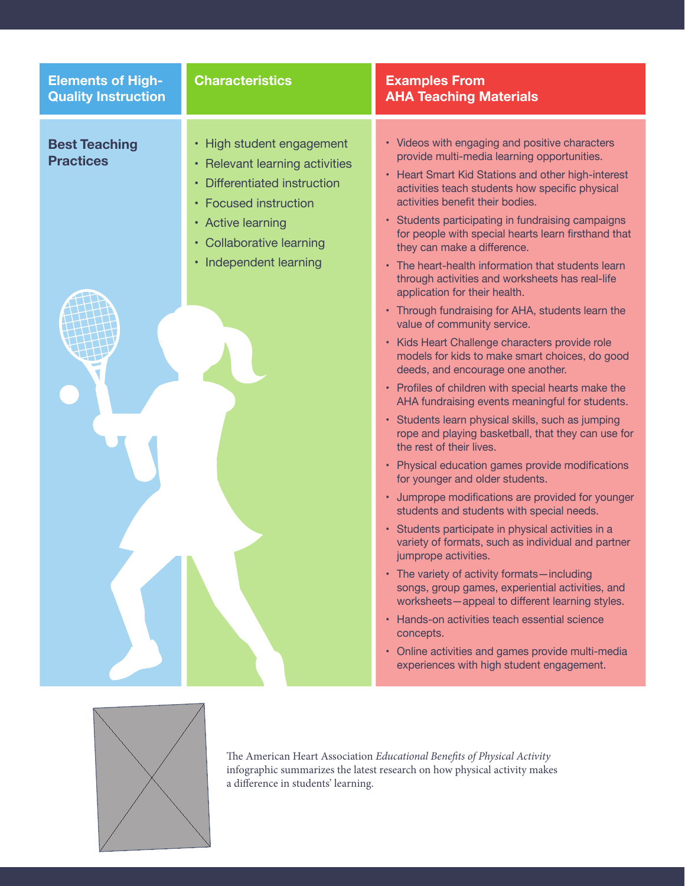| <b>Elements of High-</b>                 | <b>Characteristics</b>                                                                                                                                                                          | <b>Examples From</b>                                                                                                                                                                                                                                                                                                                                                                                                                                                                                                                                                                                                                                                                                                                                                                                                                                                                                                                                                                                                                                                                                                                                                                                                                                                                                                                                                                                                                                                                                                                                                                                                                                             |
|------------------------------------------|-------------------------------------------------------------------------------------------------------------------------------------------------------------------------------------------------|------------------------------------------------------------------------------------------------------------------------------------------------------------------------------------------------------------------------------------------------------------------------------------------------------------------------------------------------------------------------------------------------------------------------------------------------------------------------------------------------------------------------------------------------------------------------------------------------------------------------------------------------------------------------------------------------------------------------------------------------------------------------------------------------------------------------------------------------------------------------------------------------------------------------------------------------------------------------------------------------------------------------------------------------------------------------------------------------------------------------------------------------------------------------------------------------------------------------------------------------------------------------------------------------------------------------------------------------------------------------------------------------------------------------------------------------------------------------------------------------------------------------------------------------------------------------------------------------------------------------------------------------------------------|
| <b>Quality Instruction</b>               |                                                                                                                                                                                                 | <b>AHA Teaching Materials</b>                                                                                                                                                                                                                                                                                                                                                                                                                                                                                                                                                                                                                                                                                                                                                                                                                                                                                                                                                                                                                                                                                                                                                                                                                                                                                                                                                                                                                                                                                                                                                                                                                                    |
| <b>Best Teaching</b><br><b>Practices</b> | • High student engagement<br>• Relevant learning activities<br>• Differentiated instruction<br>• Focused instruction<br>• Active learning<br>• Collaborative learning<br>• Independent learning | • Videos with engaging and positive characters<br>provide multi-media learning opportunities.<br>• Heart Smart Kid Stations and other high-interest<br>activities teach students how specific physical<br>activities benefit their bodies.<br>• Students participating in fundraising campaigns<br>for people with special hearts learn firsthand that<br>they can make a difference.<br>• The heart-health information that students learn<br>through activities and worksheets has real-life<br>application for their health.<br>• Through fundraising for AHA, students learn the<br>value of community service.<br>• Kids Heart Challenge characters provide role<br>models for kids to make smart choices, do good<br>deeds, and encourage one another.<br>• Profiles of children with special hearts make the<br>AHA fundraising events meaningful for students.<br>· Students learn physical skills, such as jumping<br>rope and playing basketball, that they can use for<br>the rest of their lives.<br>• Physical education games provide modifications<br>for younger and older students.<br>• Jumprope modifications are provided for younger<br>students and students with special needs.<br>· Students participate in physical activities in a<br>variety of formats, such as individual and partner<br>jumprope activities.<br>• The variety of activity formats-including<br>songs, group games, experiential activities, and<br>worksheets-appeal to different learning styles.<br>• Hands-on activities teach essential science<br>concepts.<br>• Online activities and games provide multi-media<br>experiences with high student engagement. |
|                                          |                                                                                                                                                                                                 |                                                                                                                                                                                                                                                                                                                                                                                                                                                                                                                                                                                                                                                                                                                                                                                                                                                                                                                                                                                                                                                                                                                                                                                                                                                                                                                                                                                                                                                                                                                                                                                                                                                                  |